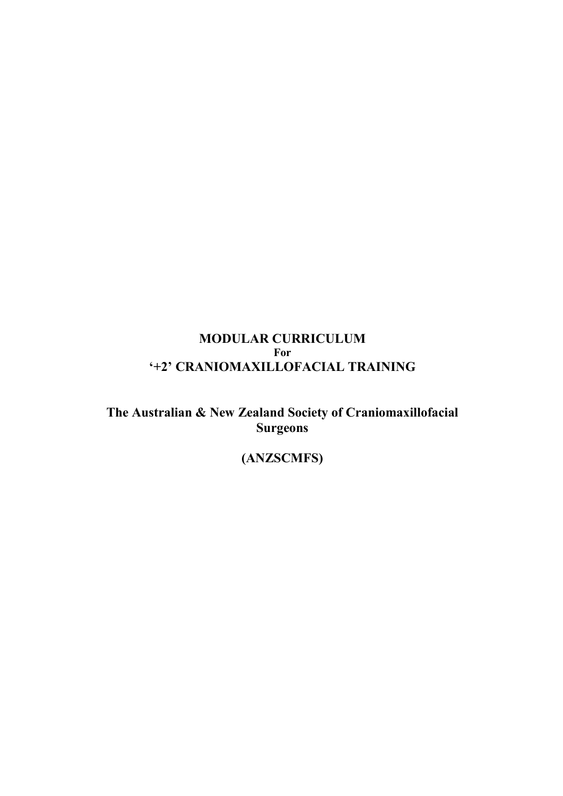# **MODULAR CURRICULUM For '+2' CRANIOMAXILLOFACIAL TRAINING**

**The Australian & New Zealand Society of Craniomaxillofacial Surgeons** 

# **(ANZSCMFS)**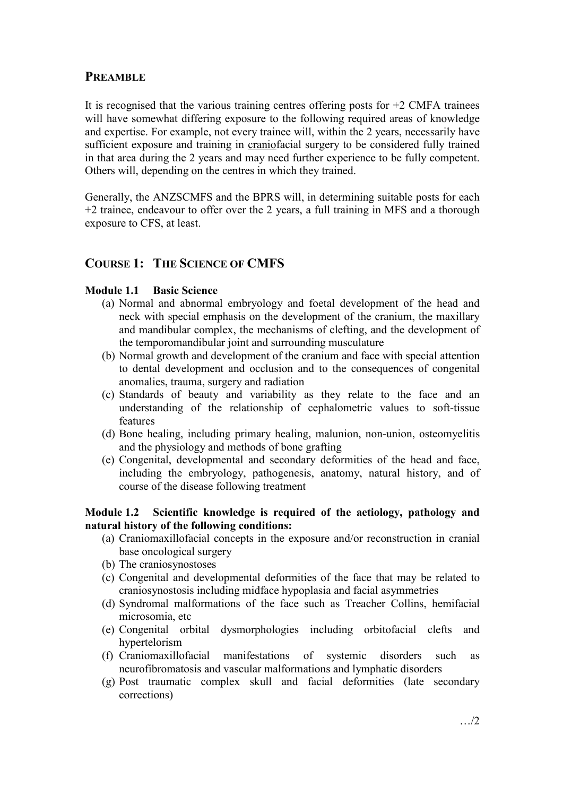# **PREAMBLE**

It is recognised that the various training centres offering posts for  $+2$  CMFA trainees will have somewhat differing exposure to the following required areas of knowledge and expertise. For example, not every trainee will, within the 2 years, necessarily have sufficient exposure and training in craniofacial surgery to be considered fully trained in that area during the 2 years and may need further experience to be fully competent. Others will, depending on the centres in which they trained.

Generally, the ANZSCMFS and the BPRS will, in determining suitable posts for each +2 trainee, endeavour to offer over the 2 years, a full training in MFS and a thorough exposure to CFS, at least.

# **COURSE 1: THE SCIENCE OF CMFS**

# **Module 1.1 Basic Science**

- (a) Normal and abnormal embryology and foetal development of the head and neck with special emphasis on the development of the cranium, the maxillary and mandibular complex, the mechanisms of clefting, and the development of the temporomandibular joint and surrounding musculature
- (b) Normal growth and development of the cranium and face with special attention to dental development and occlusion and to the consequences of congenital anomalies, trauma, surgery and radiation
- (c) Standards of beauty and variability as they relate to the face and an understanding of the relationship of cephalometric values to soft-tissue features
- (d) Bone healing, including primary healing, malunion, non-union, osteomyelitis and the physiology and methods of bone grafting
- (e) Congenital, developmental and secondary deformities of the head and face, including the embryology, pathogenesis, anatomy, natural history, and of course of the disease following treatment

### **Module 1.2 Scientific knowledge is required of the aetiology, pathology and natural history of the following conditions:**

- (a) Craniomaxillofacial concepts in the exposure and/or reconstruction in cranial base oncological surgery
- (b) The craniosynostoses
- (c) Congenital and developmental deformities of the face that may be related to craniosynostosis including midface hypoplasia and facial asymmetries
- (d) Syndromal malformations of the face such as Treacher Collins, hemifacial microsomia, etc
- (e) Congenital orbital dysmorphologies including orbitofacial clefts and hypertelorism
- (f) Craniomaxillofacial manifestations of systemic disorders such as neurofibromatosis and vascular malformations and lymphatic disorders
- (g) Post traumatic complex skull and facial deformities (late secondary corrections)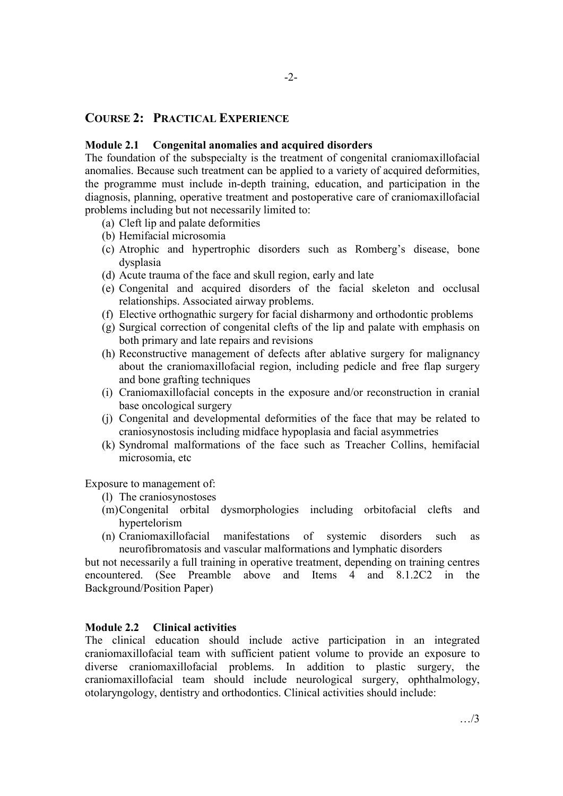## **COURSE 2: PRACTICAL EXPERIENCE**

#### **Module 2.1 Congenital anomalies and acquired disorders**

The foundation of the subspecialty is the treatment of congenital craniomaxillofacial anomalies. Because such treatment can be applied to a variety of acquired deformities, the programme must include in-depth training, education, and participation in the diagnosis, planning, operative treatment and postoperative care of craniomaxillofacial problems including but not necessarily limited to:

- (a) Cleft lip and palate deformities
- (b) Hemifacial microsomia
- (c) Atrophic and hypertrophic disorders such as Romberg's disease, bone dysplasia
- (d) Acute trauma of the face and skull region, early and late
- (e) Congenital and acquired disorders of the facial skeleton and occlusal relationships. Associated airway problems.
- (f) Elective orthognathic surgery for facial disharmony and orthodontic problems
- (g) Surgical correction of congenital clefts of the lip and palate with emphasis on both primary and late repairs and revisions
- (h) Reconstructive management of defects after ablative surgery for malignancy about the craniomaxillofacial region, including pedicle and free flap surgery and bone grafting techniques
- (i) Craniomaxillofacial concepts in the exposure and/or reconstruction in cranial base oncological surgery
- (j) Congenital and developmental deformities of the face that may be related to craniosynostosis including midface hypoplasia and facial asymmetries
- (k) Syndromal malformations of the face such as Treacher Collins, hemifacial microsomia, etc

Exposure to management of:

- (l) The craniosynostoses
- (m)Congenital orbital dysmorphologies including orbitofacial clefts and hypertelorism
- (n) Craniomaxillofacial manifestations of systemic disorders such as neurofibromatosis and vascular malformations and lymphatic disorders

but not necessarily a full training in operative treatment, depending on training centres encountered. (See Preamble above and Items 4 and 8.1.2C2 in the Background/Position Paper)

### **Module 2.2 Clinical activities**

The clinical education should include active participation in an integrated craniomaxillofacial team with sufficient patient volume to provide an exposure to diverse craniomaxillofacial problems. In addition to plastic surgery, the craniomaxillofacial team should include neurological surgery, ophthalmology, otolaryngology, dentistry and orthodontics. Clinical activities should include: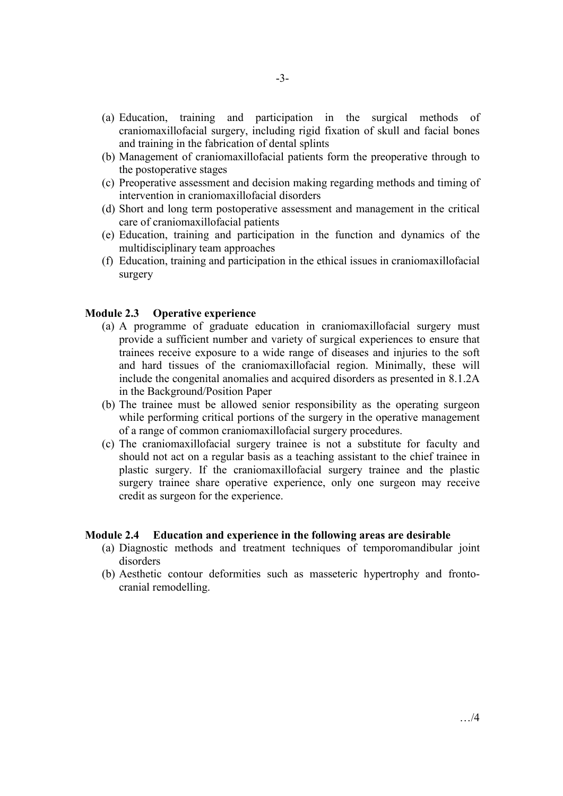- (a) Education, training and participation in the surgical methods of craniomaxillofacial surgery, including rigid fixation of skull and facial bones and training in the fabrication of dental splints
- (b) Management of craniomaxillofacial patients form the preoperative through to the postoperative stages
- (c) Preoperative assessment and decision making regarding methods and timing of intervention in craniomaxillofacial disorders
- (d) Short and long term postoperative assessment and management in the critical care of craniomaxillofacial patients
- (e) Education, training and participation in the function and dynamics of the multidisciplinary team approaches
- (f) Education, training and participation in the ethical issues in craniomaxillofacial surgery

#### **Module 2.3 Operative experience**

- (a) A programme of graduate education in craniomaxillofacial surgery must provide a sufficient number and variety of surgical experiences to ensure that trainees receive exposure to a wide range of diseases and injuries to the soft and hard tissues of the craniomaxillofacial region. Minimally, these will include the congenital anomalies and acquired disorders as presented in 8.1.2A in the Background/Position Paper
- (b) The trainee must be allowed senior responsibility as the operating surgeon while performing critical portions of the surgery in the operative management of a range of common craniomaxillofacial surgery procedures.
- (c) The craniomaxillofacial surgery trainee is not a substitute for faculty and should not act on a regular basis as a teaching assistant to the chief trainee in plastic surgery. If the craniomaxillofacial surgery trainee and the plastic surgery trainee share operative experience, only one surgeon may receive credit as surgeon for the experience.

#### **Module 2.4 Education and experience in the following areas are desirable**

- (a) Diagnostic methods and treatment techniques of temporomandibular joint disorders
- (b) Aesthetic contour deformities such as masseteric hypertrophy and frontocranial remodelling.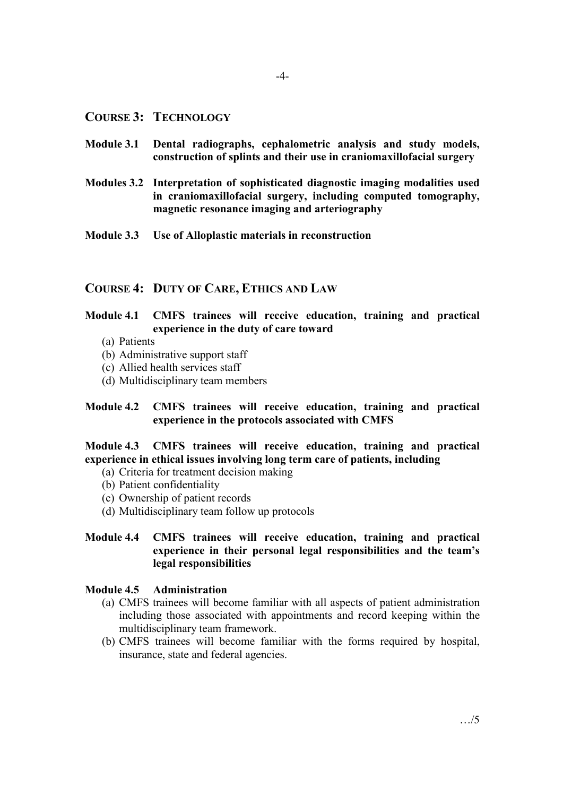### **COURSE 3: TECHNOLOGY**

- **Module 3.1 Dental radiographs, cephalometric analysis and study models, construction of splints and their use in craniomaxillofacial surgery**
- **Modules 3.2 Interpretation of sophisticated diagnostic imaging modalities used in craniomaxillofacial surgery, including computed tomography, magnetic resonance imaging and arteriography**
- **Module 3.3 Use of Alloplastic materials in reconstruction**

#### **COURSE 4: DUTY OF CARE, ETHICS AND LAW**

## **Module 4.1 CMFS trainees will receive education, training and practical experience in the duty of care toward**

- (a) Patients
- (b) Administrative support staff
- (c) Allied health services staff
- (d) Multidisciplinary team members

### **Module 4.2 CMFS trainees will receive education, training and practical experience in the protocols associated with CMFS**

**Module 4.3 CMFS trainees will receive education, training and practical experience in ethical issues involving long term care of patients, including** 

- (a) Criteria for treatment decision making
- (b) Patient confidentiality
- (c) Ownership of patient records
- (d) Multidisciplinary team follow up protocols

### **Module 4.4 CMFS trainees will receive education, training and practical experience in their personal legal responsibilities and the team's legal responsibilities**

#### **Module 4.5 Administration**

- (a) CMFS trainees will become familiar with all aspects of patient administration including those associated with appointments and record keeping within the multidisciplinary team framework.
- (b) CMFS trainees will become familiar with the forms required by hospital, insurance, state and federal agencies.